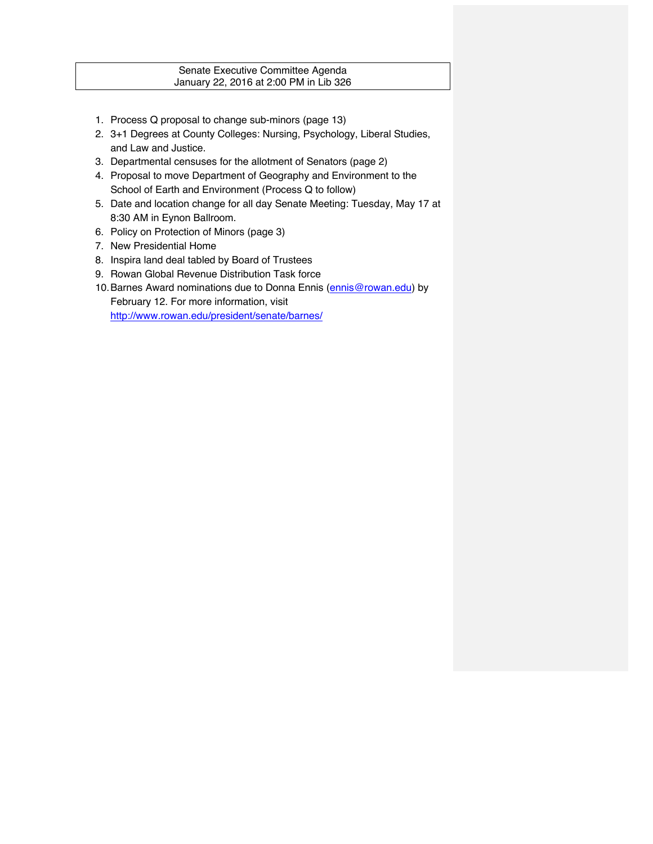# Senate Executive Committee Agenda January 22, 2016 at 2:00 PM in Lib 326

- 1. Process Q proposal to change sub-minors (page 13)
- 2. 3+1 Degrees at County Colleges: Nursing, Psychology, Liberal Studies, and Law and Justice.
- 3. Departmental censuses for the allotment of Senators (page 2)
- 4. Proposal to move Department of Geography and Environment to the School of Earth and Environment (Process Q to follow)
- 5. Date and location change for all day Senate Meeting: Tuesday, May 17 at 8:30 AM in Eynon Ballroom.
- 6. Policy on Protection of Minors (page 3)
- 7. New Presidential Home
- 8. Inspira land deal tabled by Board of Trustees
- 9. Rowan Global Revenue Distribution Task force
- 10. Barnes Award nominations due to Donna Ennis (ennis@rowan.edu) by February 12. For more information, visit http://www.rowan.edu/president/senate/barnes/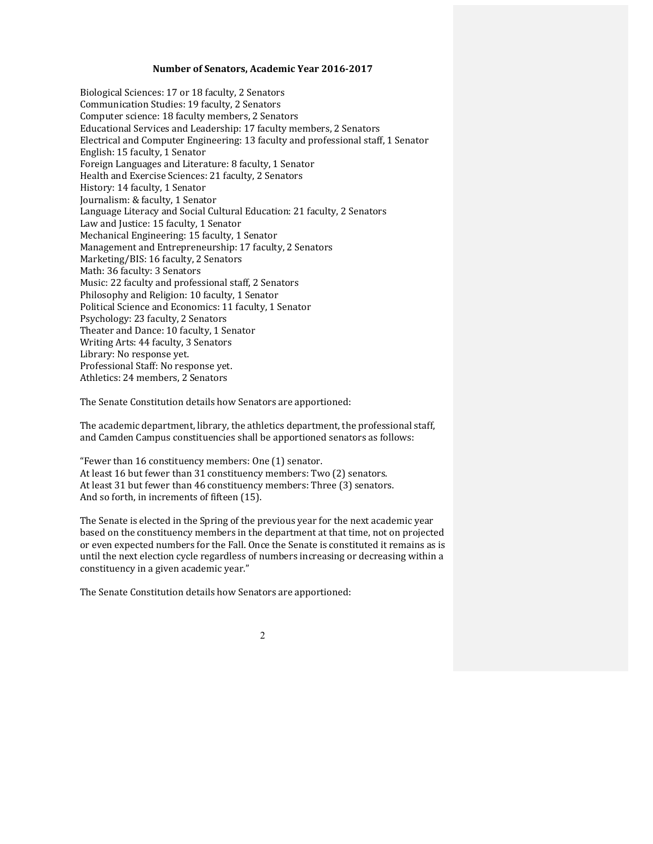## Number of Senators, Academic Year 2016-2017

Biological Sciences: 17 or 18 faculty, 2 Senators Communication Studies: 19 faculty, 2 Senators Computer science: 18 faculty members, 2 Senators Educational Services and Leadership: 17 faculty members, 2 Senators Electrical and Computer Engineering: 13 faculty and professional staff, 1 Senator English: 15 faculty, 1 Senator Foreign Languages and Literature: 8 faculty, 1 Senator Health and Exercise Sciences: 21 faculty, 2 Senators History: 14 faculty, 1 Senator Journalism: & faculty, 1 Senator Language Literacy and Social Cultural Education: 21 faculty, 2 Senators Law and Justice: 15 faculty, 1 Senator Mechanical Engineering: 15 faculty, 1 Senator Management and Entrepreneurship: 17 faculty, 2 Senators Marketing/BIS: 16 faculty, 2 Senators Math: 36 faculty: 3 Senators Music: 22 faculty and professional staff, 2 Senators Philosophy and Religion: 10 faculty, 1 Senator Political Science and Economics: 11 faculty, 1 Senator Psychology: 23 faculty, 2 Senators Theater and Dance: 10 faculty, 1 Senator Writing Arts: 44 faculty, 3 Senators Library: No response yet. Professional Staff: No response yet. Athletics: 24 members, 2 Senators

The Senate Constitution details how Senators are apportioned:

The academic department, library, the athletics department, the professional staff, and Camden Campus constituencies shall be apportioned senators as follows:

"Fewer than 16 constituency members: One  $(1)$  senator. At least 16 but fewer than 31 constituency members: Two (2) senators. At least 31 but fewer than 46 constituency members: Three (3) senators. And so forth, in increments of fifteen (15).

The Senate is elected in the Spring of the previous year for the next academic year based on the constituency members in the department at that time, not on projected or even expected numbers for the Fall. Once the Senate is constituted it remains as is until the next election cycle regardless of numbers increasing or decreasing within a constituency in a given academic year."

The Senate Constitution details how Senators are apportioned:

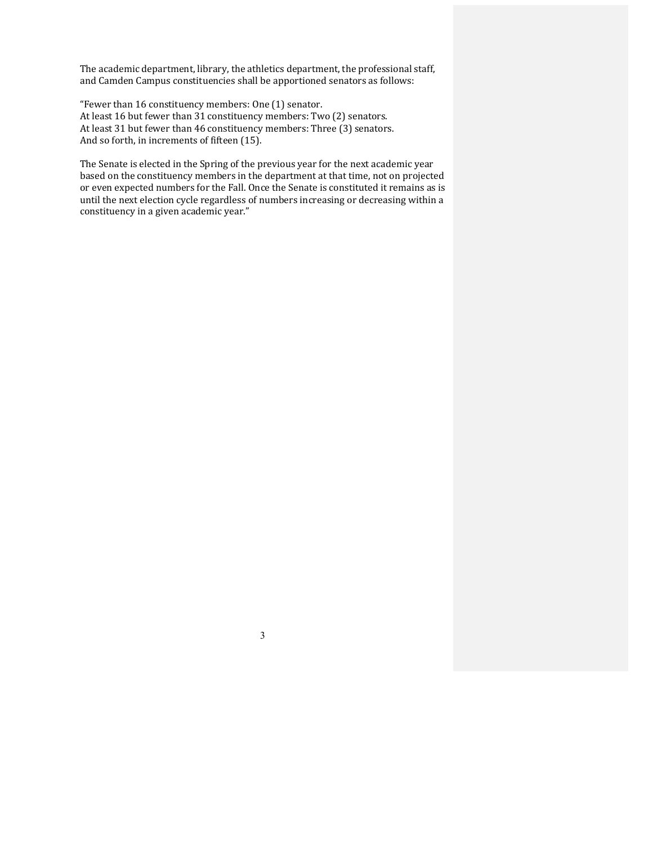The academic department, library, the athletics department, the professional staff, and Camden Campus constituencies shall be apportioned senators as follows:

"Fewer than 16 constituency members: One (1) senator. At least 16 but fewer than 31 constituency members: Two (2) senators. At least 31 but fewer than 46 constituency members: Three (3) senators. And so forth, in increments of fifteen (15).

The Senate is elected in the Spring of the previous year for the next academic year based on the constituency members in the department at that time, not on projected or even expected numbers for the Fall. Once the Senate is constituted it remains as is until the next election cycle regardless of numbers increasing or decreasing within a constituency in a given academic year."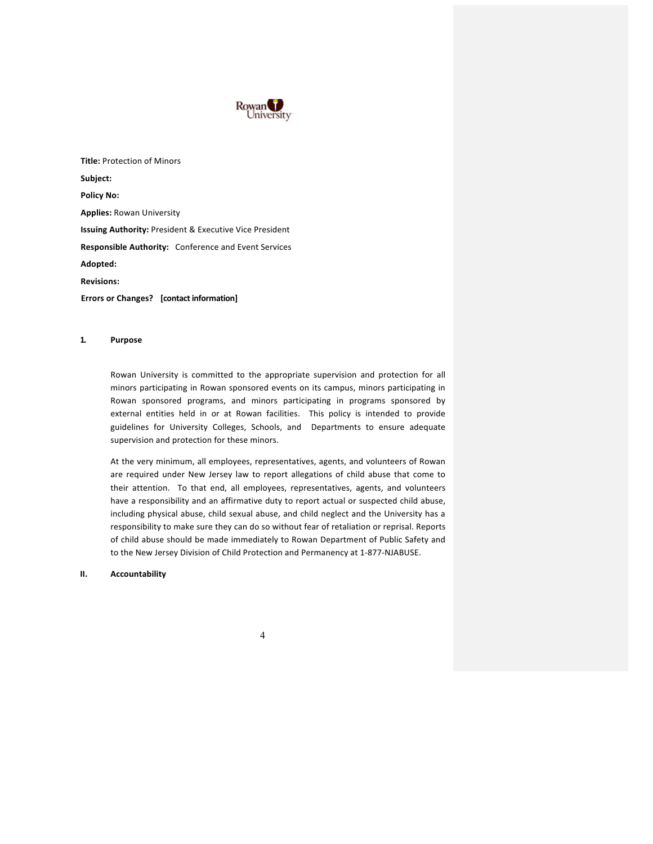

**Title: Protection of Minors Subject: Policy No: Applies: Rowan University Issuing Authority: President & Executive Vice President Responsible Authority:** Conference and Event Services **Adopted: Revisions: Errors or Changes?** [contact information]

#### **1. Purpose**

Rowan University is committed to the appropriate supervision and protection for all minors participating in Rowan sponsored events on its campus, minors participating in Rowan sponsored programs, and minors participating in programs sponsored by external entities held in or at Rowan facilities. This policy is intended to provide guidelines for University Colleges, Schools, and Departments to ensure adequate supervision and protection for these minors.

At the very minimum, all employees, representatives, agents, and volunteers of Rowan are required under New Jersey law to report allegations of child abuse that come to their attention. To that end, all employees, representatives, agents, and volunteers have a responsibility and an affirmative duty to report actual or suspected child abuse, including physical abuse, child sexual abuse, and child neglect and the University has a responsibility to make sure they can do so without fear of retaliation or reprisal. Reports of child abuse should be made immediately to Rowan Department of Public Safety and to the New Jersey Division of Child Protection and Permanency at 1-877-NJABUSE.

### **II. Accountability**

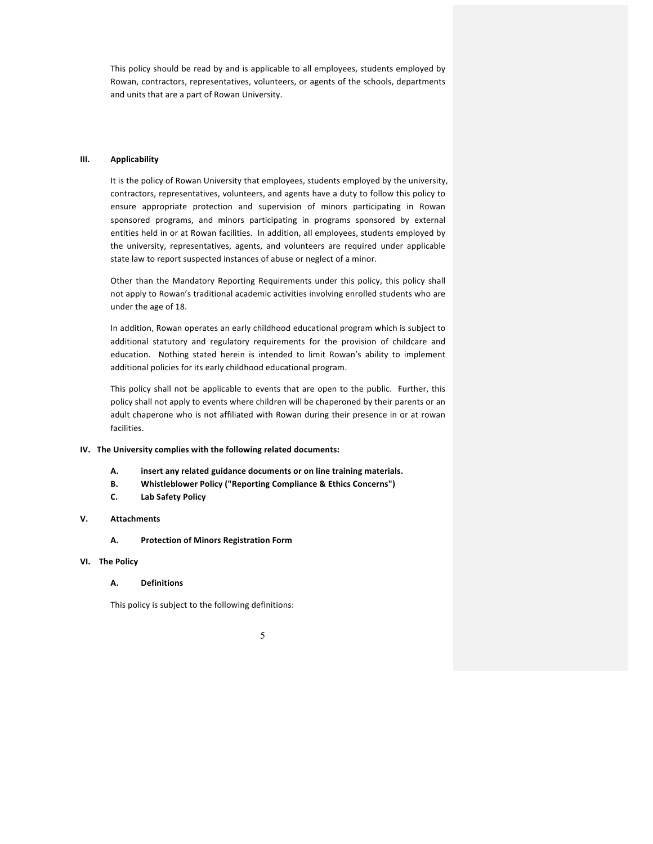This policy should be read by and is applicable to all employees, students employed by Rowan, contractors, representatives, volunteers, or agents of the schools, departments and units that are a part of Rowan University.

#### **III. Applicability**

It is the policy of Rowan University that employees, students employed by the university, contractors, representatives, volunteers, and agents have a duty to follow this policy to ensure appropriate protection and supervision of minors participating in Rowan sponsored programs, and minors participating in programs sponsored by external entities held in or at Rowan facilities. In addition, all employees, students employed by the university, representatives, agents, and volunteers are required under applicable state law to report suspected instances of abuse or neglect of a minor.

Other than the Mandatory Reporting Requirements under this policy, this policy shall not apply to Rowan's traditional academic activities involving enrolled students who are under the age of 18.

In addition, Rowan operates an early childhood educational program which is subject to additional statutory and regulatory requirements for the provision of childcare and education. Nothing stated herein is intended to limit Rowan's ability to implement additional policies for its early childhood educational program.

This policy shall not be applicable to events that are open to the public. Further, this policy shall not apply to events where children will be chaperoned by their parents or an adult chaperone who is not affiliated with Rowan during their presence in or at rowan facilities. 

## **IV.** The University complies with the following related documents:

- A. **insert any related guidance documents or on line training materials.**
- **B.** Whistleblower Policy ("Reporting Compliance & Ethics Concerns")
- **C. Lab Safety Policy**

#### **V. Attachments**

**A. Protection of Minors Registration Form**

#### **VI.** The Policy

#### **A. Definitions**

This policy is subject to the following definitions:

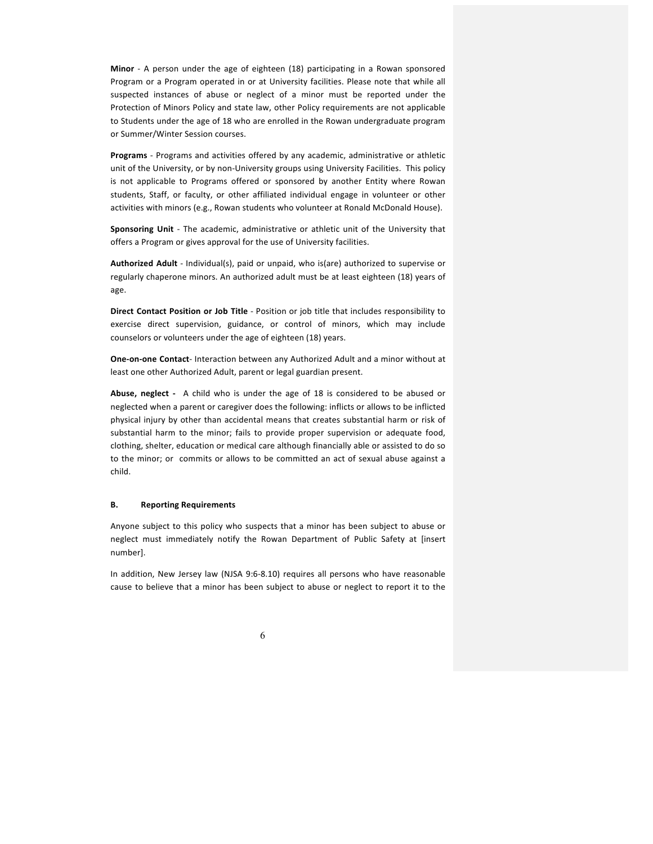**Minor** - A person under the age of eighteen (18) participating in a Rowan sponsored Program or a Program operated in or at University facilities. Please note that while all suspected instances of abuse or neglect of a minor must be reported under the Protection of Minors Policy and state law, other Policy requirements are not applicable to Students under the age of 18 who are enrolled in the Rowan undergraduate program or Summer/Winter Session courses.

**Programs** - Programs and activities offered by any academic, administrative or athletic unit of the University, or by non-University groups using University Facilities. This policy is not applicable to Programs offered or sponsored by another Entity where Rowan students, Staff, or faculty, or other affiliated individual engage in volunteer or other activities with minors (e.g., Rowan students who volunteer at Ronald McDonald House).

**Sponsoring Unit** - The academic, administrative or athletic unit of the University that offers a Program or gives approval for the use of University facilities.

Authorized Adult - Individual(s), paid or unpaid, who is(are) authorized to supervise or regularly chaperone minors. An authorized adult must be at least eighteen (18) years of age.

**Direct Contact Position or Job Title** - Position or job title that includes responsibility to exercise direct supervision, guidance, or control of minors, which may include counselors or volunteers under the age of eighteen (18) years.

**One-on-one Contact-** Interaction between any Authorized Adult and a minor without at least one other Authorized Adult, parent or legal guardian present.

**Abuse, neglect** - A child who is under the age of 18 is considered to be abused or neglected when a parent or caregiver does the following: inflicts or allows to be inflicted physical injury by other than accidental means that creates substantial harm or risk of substantial harm to the minor; fails to provide proper supervision or adequate food, clothing, shelter, education or medical care although financially able or assisted to do so to the minor; or commits or allows to be committed an act of sexual abuse against a child.

### **B. Reporting Requirements**

Anyone subject to this policy who suspects that a minor has been subject to abuse or neglect must immediately notify the Rowan Department of Public Safety at [insert number].

In addition, New Jersey law (NJSA 9:6-8.10) requires all persons who have reasonable cause to believe that a minor has been subject to abuse or neglect to report it to the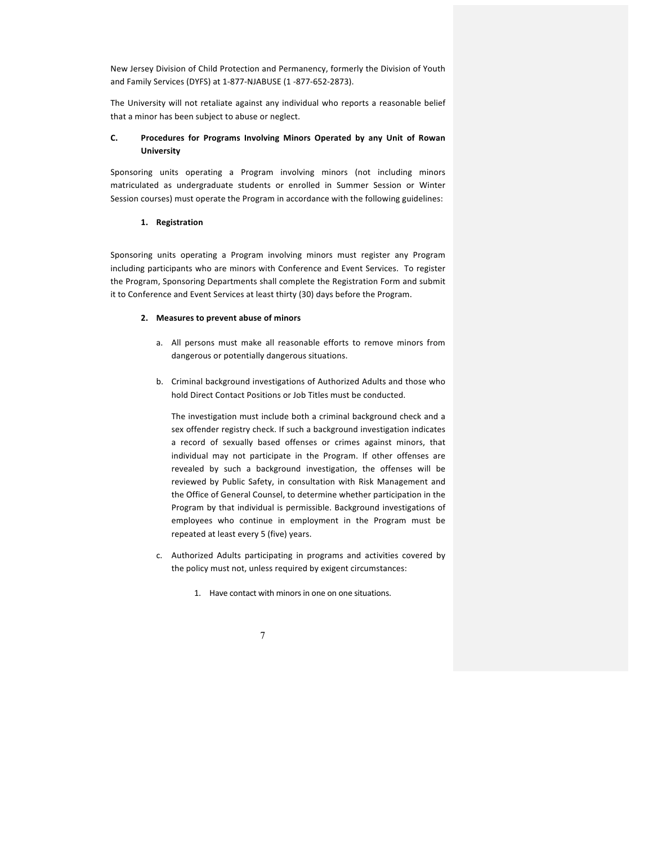New Jersey Division of Child Protection and Permanency, formerly the Division of Youth and Family Services (DYFS) at 1-877-NJABUSE (1 -877-652-2873).

The University will not retaliate against any individual who reports a reasonable belief that a minor has been subject to abuse or neglect.

## **C.** Procedures for Programs Involving Minors Operated by any Unit of Rowan **University**

Sponsoring units operating a Program involving minors (not including minors matriculated as undergraduate students or enrolled in Summer Session or Winter Session courses) must operate the Program in accordance with the following guidelines:

#### **1. Registration**

Sponsoring units operating a Program involving minors must register any Program including participants who are minors with Conference and Event Services. To register the Program, Sponsoring Departments shall complete the Registration Form and submit it to Conference and Event Services at least thirty (30) days before the Program.

### 2. Measures to prevent abuse of minors

- a. All persons must make all reasonable efforts to remove minors from dangerous or potentially dangerous situations.
- b. Criminal background investigations of Authorized Adults and those who hold Direct Contact Positions or Job Titles must be conducted.

The investigation must include both a criminal background check and a sex offender registry check. If such a background investigation indicates a record of sexually based offenses or crimes against minors, that individual may not participate in the Program. If other offenses are revealed by such a background investigation, the offenses will be reviewed by Public Safety, in consultation with Risk Management and the Office of General Counsel, to determine whether participation in the Program by that individual is permissible. Background investigations of employees who continue in employment in the Program must be repeated at least every 5 (five) years.

- c. Authorized Adults participating in programs and activities covered by the policy must not, unless required by exigent circumstances:
	- 1. Have contact with minors in one on one situations.

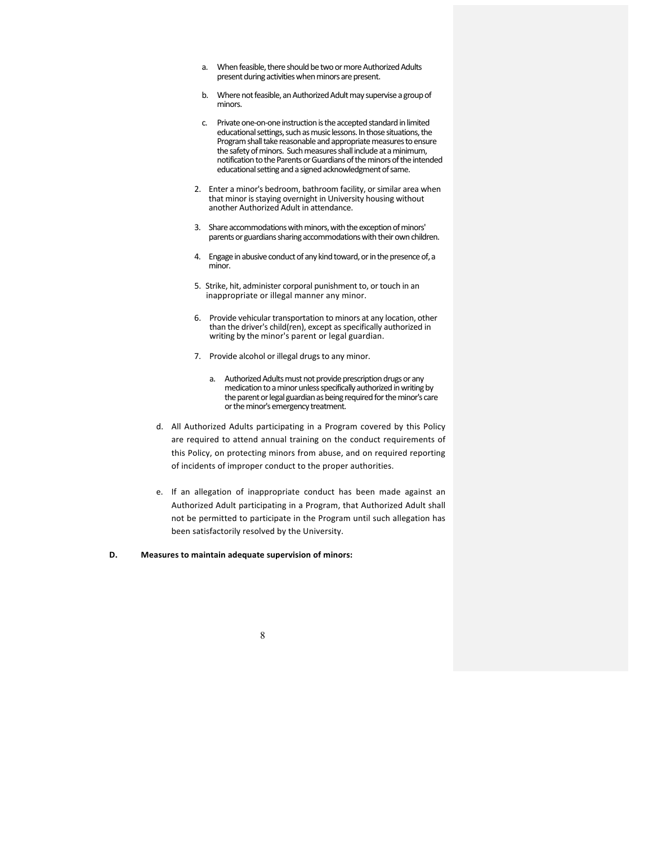- a. When feasible, there should be two or more Authorized Adults present during activities when minors are present.
- b. Where not feasible, an Authorized Adult may supervise a group of minors.
- c. Private one-on-one instruction is the accepted standard in limited educational settings, such as music lessons. In those situations, the Program shall take reasonable and appropriate measures to ensure the safety of minors. Such measures shall include at a minimum, notification to the Parents or Guardians of the minors of the intended educational setting and a signed acknowledgment of same.
- 2. Enter a minor's bedroom, bathroom facility, or similar area when that minor is staying overnight in University housing without another Authorized Adult in attendance.
- 3. Share accommodations with minors, with the exception of minors' parents or guardians sharing accommodations with their own children.
- 4. Engage in abusive conduct of any kind toward, or in the presence of, a minor.
- 5. Strike, hit, administer corporal punishment to, or touch in an inappropriate or illegal manner any minor.
- 6. Provide vehicular transportation to minors at any location, other than the driver's child(ren), except as specifically authorized in writing by the minor's parent or legal guardian.
- 7. Provide alcohol or illegal drugs to any minor.
	- a. Authorized Adults must not provide prescription drugs or any medication to a minor unless specifically authorized in writing by the parent or legal guardian as being required for the minor's care or the minor's emergency treatment.
- d. All Authorized Adults participating in a Program covered by this Policy are required to attend annual training on the conduct requirements of this Policy, on protecting minors from abuse, and on required reporting of incidents of improper conduct to the proper authorities.
- e. If an allegation of inappropriate conduct has been made against an Authorized Adult participating in a Program, that Authorized Adult shall not be permitted to participate in the Program until such allegation has been satisfactorily resolved by the University.

#### **D.** Measures to maintain adequate supervision of minors:

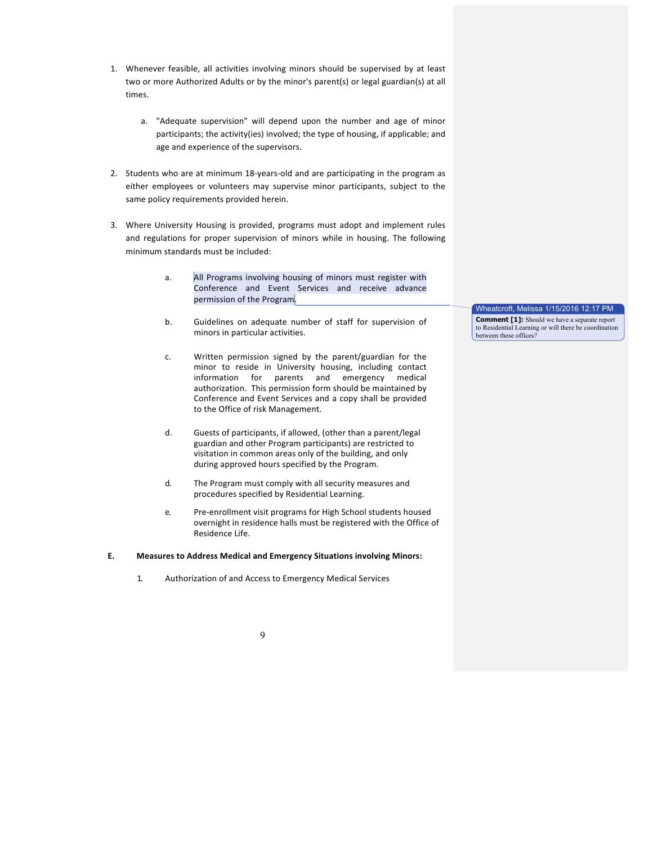- 1. Whenever feasible, all activities involving minors should be supervised by at least two or more Authorized Adults or by the minor's parent(s) or legal guardian(s) at all times.
	- a. "Adequate supervision" will depend upon the number and age of minor participants; the activity(ies) involved; the type of housing, if applicable; and age and experience of the supervisors.
- 2. Students who are at minimum 18-years-old and are participating in the program as either employees or volunteers may supervise minor participants, subject to the same policy requirements provided herein.
- 3. Where University Housing is provided, programs must adopt and implement rules and regulations for proper supervision of minors while in housing. The following minimum standards must be included:
	- a. All Programs involving housing of minors must register with Conference and Event Services and receive advance permission of the Program.
	- b. Guidelines on adequate number of staff for supervision of minors in particular activities.
	- c. Written permission signed by the parent/guardian for the minor to reside in University housing, including contact information for parents and emergency medical authorization. This permission form should be maintained by Conference and Event Services and a copy shall be provided to the Office of risk Management.
	- d. Guests of participants, if allowed, (other than a parent/legal guardian and other Program participants) are restricted to visitation in common areas only of the building, and only during approved hours specified by the Program.
	- d. The Program must comply with all security measures and procedures specified by Residential Learning.
	- e. Pre-enrollment visit programs for High School students housed overnight in residence halls must be registered with the Office of Residence Life.

## **E.** Measures to Address Medical and Emergency Situations involving Minors:

1. Authorization of and Access to Emergency Medical Services

Wheatcroft, Melissa 1/15/2016 12:17 PM

**Comment [1]:** Should we have a separate report to Residential Learning or will there be coordination between these offices?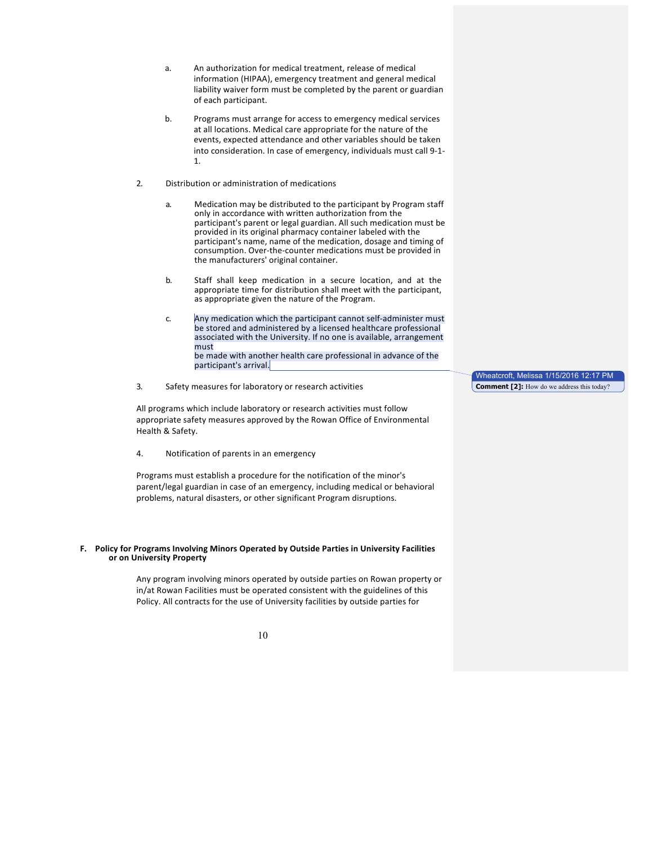- a. An authorization for medical treatment, release of medical information (HIPAA), emergency treatment and general medical liability waiver form must be completed by the parent or guardian of each participant.
- b. Programs must arrange for access to emergency medical services at all locations. Medical care appropriate for the nature of the events, expected attendance and other variables should be taken into consideration. In case of emergency, individuals must call 9-1-1.
- 2. Distribution or administration of medications
	- a. Medication may be distributed to the participant by Program staff only in accordance with written authorization from the participant's parent or legal guardian. All such medication must be provided in its original pharmacy container labeled with the participant's name, name of the medication, dosage and timing of consumption. Over-the-counter medications must be provided in the manufacturers' original container.
	- b. Staff shall keep medication in a secure location, and at the appropriate time for distribution shall meet with the participant, as appropriate given the nature of the Program.
	- c. Any medication which the participant cannot self-administer must be stored and administered by a licensed healthcare professional associated with the University. If no one is available, arrangement must be made with another health care professional in advance of the participant's arrival.
- 3. Safety measures for laboratory or research activities

All programs which include laboratory or research activities must follow appropriate safety measures approved by the Rowan Office of Environmental Health & Safety.

4. Notification of parents in an emergency

Programs must establish a procedure for the notification of the minor's parent/legal guardian in case of an emergency, including medical or behavioral problems, natural disasters, or other significant Program disruptions.

#### **F.** Policy for Programs Involving Minors Operated by Outside Parties in University Facilities **or on University Property**

Any program involving minors operated by outside parties on Rowan property or in/at Rowan Facilities must be operated consistent with the guidelines of this Policy. All contracts for the use of University facilities by outside parties for

10

Wheatcroft, Melissa 1/15/2016 12:17 PM **Comment [2]:** How do we address this today?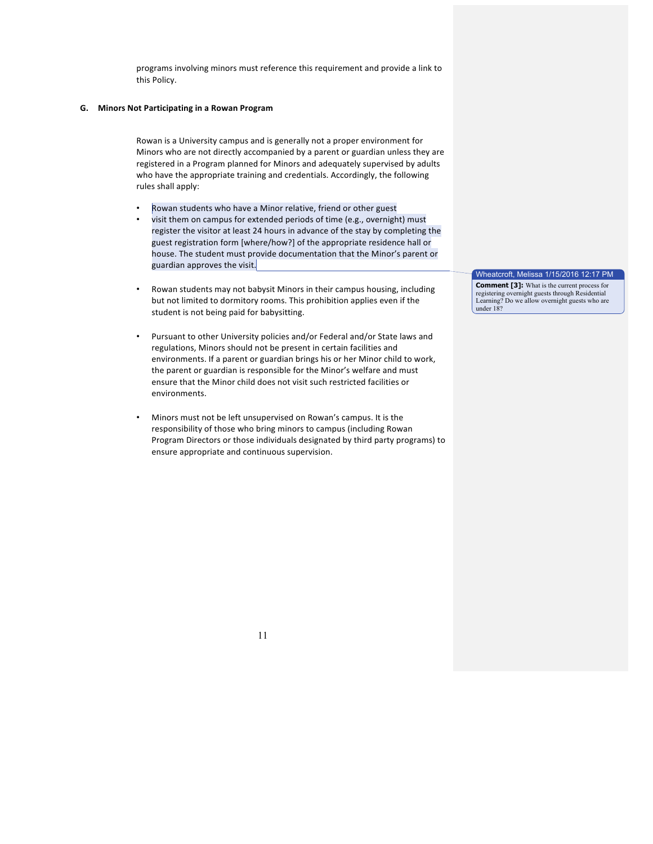programs involving minors must reference this requirement and provide a link to this Policy.

#### **G. Minors Not Participating in a Rowan Program**

Rowan is a University campus and is generally not a proper environment for Minors who are not directly accompanied by a parent or guardian unless they are registered in a Program planned for Minors and adequately supervised by adults who have the appropriate training and credentials. Accordingly, the following rules shall apply:

- Rowan students who have a Minor relative, friend or other guest
- visit them on campus for extended periods of time (e.g., overnight) must register the visitor at least 24 hours in advance of the stay by completing the guest registration form [where/how?] of the appropriate residence hall or house. The student must provide documentation that the Minor's parent or guardian approves the visit.
- Rowan students may not babysit Minors in their campus housing, including but not limited to dormitory rooms. This prohibition applies even if the student is not being paid for babysitting.
- Pursuant to other University policies and/or Federal and/or State laws and regulations, Minors should not be present in certain facilities and environments. If a parent or guardian brings his or her Minor child to work, the parent or guardian is responsible for the Minor's welfare and must ensure that the Minor child does not visit such restricted facilities or environments.
- Minors must not be left unsupervised on Rowan's campus. It is the responsibility of those who bring minors to campus (including Rowan Program Directors or those individuals designated by third party programs) to ensure appropriate and continuous supervision.

Wheatcroft, Melissa 1/15/2016 12:17 PM **Comment [3]:** What is the current process for registering overnight guests through Residential Learning? Do we allow overnight guests who are under 18?

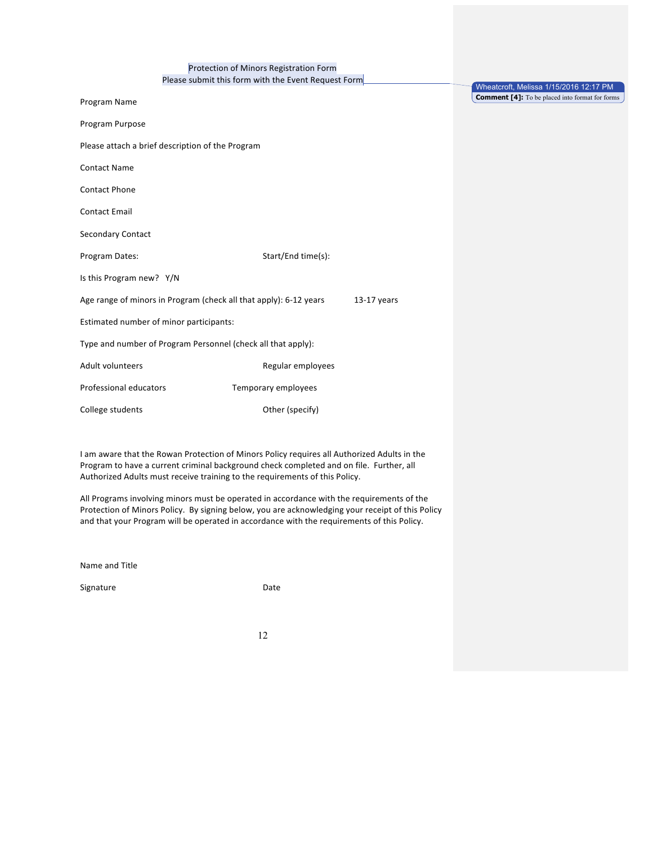|  |  | Protection of Minors Registration Form |  |
|--|--|----------------------------------------|--|
|  |  |                                        |  |

Please submit this form with the Event Request Form

|                                                                                    | I ICase subtine this form with the Event nequest Form        | Wheatcroft, Melissa 1/15/2016 12:17 PM                |  |
|------------------------------------------------------------------------------------|--------------------------------------------------------------|-------------------------------------------------------|--|
| Program Name                                                                       |                                                              | <b>Comment [4]:</b> To be placed into format for forn |  |
| Program Purpose                                                                    |                                                              |                                                       |  |
| Please attach a brief description of the Program                                   |                                                              |                                                       |  |
| <b>Contact Name</b>                                                                |                                                              |                                                       |  |
| <b>Contact Phone</b>                                                               |                                                              |                                                       |  |
| <b>Contact Email</b>                                                               |                                                              |                                                       |  |
| Secondary Contact                                                                  |                                                              |                                                       |  |
| Program Dates:                                                                     | Start/End time(s):                                           |                                                       |  |
| Is this Program new? Y/N                                                           |                                                              |                                                       |  |
| Age range of minors in Program (check all that apply): 6-12 years<br>$13-17$ years |                                                              |                                                       |  |
| Estimated number of minor participants:                                            |                                                              |                                                       |  |
|                                                                                    | Type and number of Program Personnel (check all that apply): |                                                       |  |
| Adult volunteers                                                                   | Regular employees                                            |                                                       |  |
| Professional educators                                                             | Temporary employees                                          |                                                       |  |
| College students                                                                   | Other (specify)                                              |                                                       |  |
|                                                                                    |                                                              |                                                       |  |

 $\,$  for  $\,$  forms  $\,$ 

I am aware that the Rowan Protection of Minors Policy requires all Authorized Adults in the Program to have a current criminal background check completed and on file. Further, all Authorized Adults must receive training to the requirements of this Policy.

All Programs involving minors must be operated in accordance with the requirements of the Protection of Minors Policy. By signing below, you are acknowledging your receipt of this Policy and that your Program will be operated in accordance with the requirements of this Policy.

Name and Title

Signature Date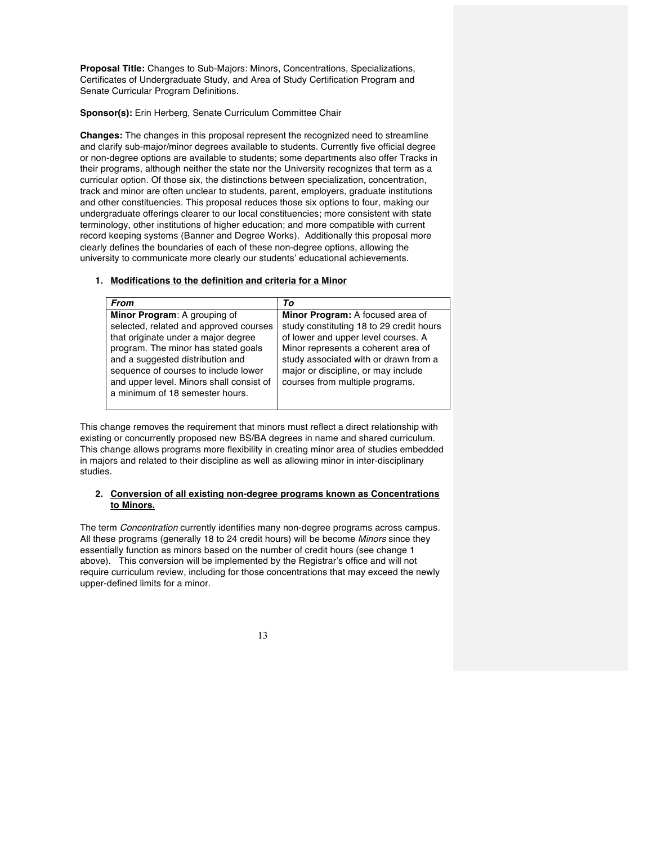**Proposal Title:** Changes to Sub-Majors: Minors, Concentrations, Specializations, Certificates of Undergraduate Study, and Area of Study Certification Program and Senate Curricular Program Definitions.

## **Sponsor(s):** Erin Herberg, Senate Curriculum Committee Chair

**Changes:** The changes in this proposal represent the recognized need to streamline and clarify sub-major/minor degrees available to students. Currently five official degree or non-degree options are available to students; some departments also offer Tracks in their programs, although neither the state nor the University recognizes that term as a curricular option. Of those six, the distinctions between specialization, concentration, track and minor are often unclear to students, parent, employers, graduate institutions and other constituencies. This proposal reduces those six options to four, making our undergraduate offerings clearer to our local constituencies; more consistent with state terminology, other institutions of higher education; and more compatible with current record keeping systems (Banner and Degree Works). Additionally this proposal more clearly defines the boundaries of each of these non-degree options, allowing the university to communicate more clearly our students' educational achievements.

## **1. Modifications to the definition and criteria for a Minor**

| <b>From</b>                              | Тο                                       |
|------------------------------------------|------------------------------------------|
| Minor Program: A grouping of             | Minor Program: A focused area of         |
| selected, related and approved courses   | study constituting 18 to 29 credit hours |
| that originate under a major degree      | of lower and upper level courses. A      |
| program. The minor has stated goals      | Minor represents a coherent area of      |
| and a suggested distribution and         | study associated with or drawn from a    |
| sequence of courses to include lower     | major or discipline, or may include      |
| and upper level. Minors shall consist of | courses from multiple programs.          |
| a minimum of 18 semester hours.          |                                          |
|                                          |                                          |

This change removes the requirement that minors must reflect a direct relationship with existing or concurrently proposed new BS/BA degrees in name and shared curriculum. This change allows programs more flexibility in creating minor area of studies embedded in majors and related to their discipline as well as allowing minor in inter-disciplinary studies.

## **2. Conversion of all existing non-degree programs known as Concentrations to Minors.**

The term *Concentration* currently identifies many non-degree programs across campus. All these programs (generally 18 to 24 credit hours) will be become *Minors* since they essentially function as minors based on the number of credit hours (see change 1 above)*.* This conversion will be implemented by the Registrar's office and will not require curriculum review, including for those concentrations that may exceed the newly upper-defined limits for a minor.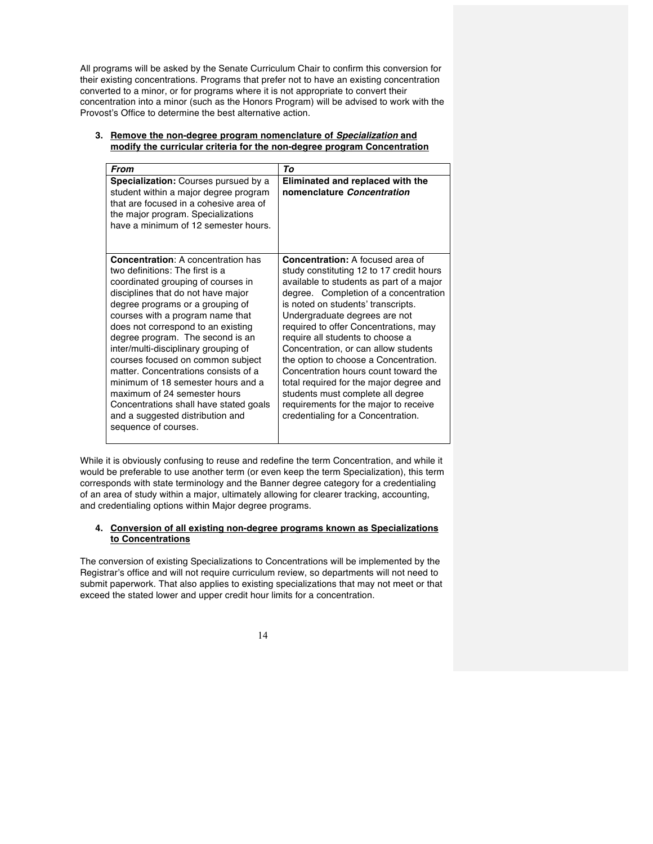All programs will be asked by the Senate Curriculum Chair to confirm this conversion for their existing concentrations. Programs that prefer not to have an existing concentration converted to a minor, or for programs where it is not appropriate to convert their concentration into a minor (such as the Honors Program) will be advised to work with the Provost's Office to determine the best alternative action.

| <b>From</b>                                                                                                                                                                                                                                                                                                                                                                                                                                                                                                                                                                                                 | Tο                                                                                                                                                                                                                                                                                                                                                                                                                                                                                                                                                                                                                   |
|-------------------------------------------------------------------------------------------------------------------------------------------------------------------------------------------------------------------------------------------------------------------------------------------------------------------------------------------------------------------------------------------------------------------------------------------------------------------------------------------------------------------------------------------------------------------------------------------------------------|----------------------------------------------------------------------------------------------------------------------------------------------------------------------------------------------------------------------------------------------------------------------------------------------------------------------------------------------------------------------------------------------------------------------------------------------------------------------------------------------------------------------------------------------------------------------------------------------------------------------|
| <b>Specialization:</b> Courses pursued by a<br>student within a major degree program<br>that are focused in a cohesive area of<br>the major program. Specializations<br>have a minimum of 12 semester hours.                                                                                                                                                                                                                                                                                                                                                                                                | Eliminated and replaced with the<br>nomenclature Concentration                                                                                                                                                                                                                                                                                                                                                                                                                                                                                                                                                       |
| <b>Concentration: A concentration has</b><br>two definitions: The first is a<br>coordinated grouping of courses in<br>disciplines that do not have major<br>degree programs or a grouping of<br>courses with a program name that<br>does not correspond to an existing<br>degree program. The second is an<br>inter/multi-disciplinary grouping of<br>courses focused on common subject<br>matter. Concentrations consists of a<br>minimum of 18 semester hours and a<br>maximum of 24 semester hours<br>Concentrations shall have stated goals<br>and a suggested distribution and<br>sequence of courses. | <b>Concentration: A focused area of</b><br>study constituting 12 to 17 credit hours<br>available to students as part of a major<br>degree. Completion of a concentration<br>is noted on students' transcripts.<br>Undergraduate degrees are not<br>required to offer Concentrations, may<br>require all students to choose a<br>Concentration, or can allow students<br>the option to choose a Concentration.<br>Concentration hours count toward the<br>total required for the major degree and<br>students must complete all degree<br>requirements for the major to receive<br>credentialing for a Concentration. |

## **3. Remove the non-degree program nomenclature of** *Specialization* **and modify the curricular criteria for the non-degree program Concentration**

While it is obviously confusing to reuse and redefine the term Concentration, and while it would be preferable to use another term (or even keep the term Specialization), this term corresponds with state terminology and the Banner degree category for a credentialing of an area of study within a major, ultimately allowing for clearer tracking, accounting, and credentialing options within Major degree programs.

## **4. Conversion of all existing non-degree programs known as Specializations to Concentrations**

The conversion of existing Specializations to Concentrations will be implemented by the Registrar's office and will not require curriculum review, so departments will not need to submit paperwork. That also applies to existing specializations that may not meet or that exceed the stated lower and upper credit hour limits for a concentration.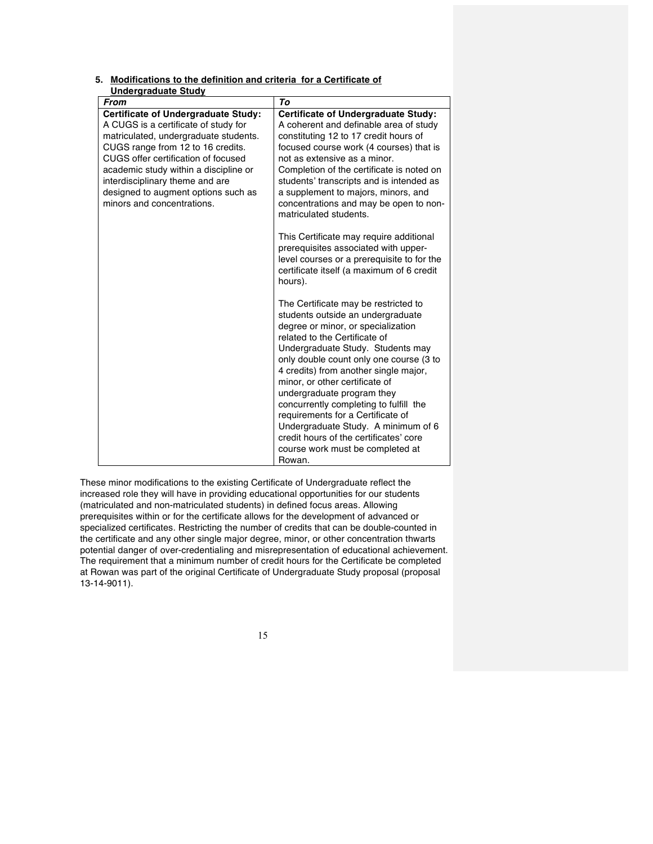**5. Modifications to the definition and criteria for a Certificate of** 

| Undergraduate Study                                                                                                                                                                                                                                                                                                                                      |                                                                                                                                                                                                                                                                                                                                                                                                                                                                                                                                                         |
|----------------------------------------------------------------------------------------------------------------------------------------------------------------------------------------------------------------------------------------------------------------------------------------------------------------------------------------------------------|---------------------------------------------------------------------------------------------------------------------------------------------------------------------------------------------------------------------------------------------------------------------------------------------------------------------------------------------------------------------------------------------------------------------------------------------------------------------------------------------------------------------------------------------------------|
| <b>From</b>                                                                                                                                                                                                                                                                                                                                              | To                                                                                                                                                                                                                                                                                                                                                                                                                                                                                                                                                      |
| <b>Certificate of Undergraduate Study:</b><br>A CUGS is a certificate of study for<br>matriculated, undergraduate students.<br>CUGS range from 12 to 16 credits.<br>CUGS offer certification of focused<br>academic study within a discipline or<br>interdisciplinary theme and are<br>designed to augment options such as<br>minors and concentrations. | <b>Certificate of Undergraduate Study:</b><br>A coherent and definable area of study<br>constituting 12 to 17 credit hours of<br>focused course work (4 courses) that is<br>not as extensive as a minor.<br>Completion of the certificate is noted on<br>students' transcripts and is intended as<br>a supplement to majors, minors, and<br>concentrations and may be open to non-<br>matriculated students.                                                                                                                                            |
|                                                                                                                                                                                                                                                                                                                                                          | This Certificate may require additional<br>prerequisites associated with upper-<br>level courses or a prerequisite to for the<br>certificate itself (a maximum of 6 credit<br>hours).                                                                                                                                                                                                                                                                                                                                                                   |
|                                                                                                                                                                                                                                                                                                                                                          | The Certificate may be restricted to<br>students outside an undergraduate<br>degree or minor, or specialization<br>related to the Certificate of<br>Undergraduate Study. Students may<br>only double count only one course (3 to<br>4 credits) from another single major,<br>minor, or other certificate of<br>undergraduate program they<br>concurrently completing to fulfill the<br>requirements for a Certificate of<br>Undergraduate Study. A minimum of 6<br>credit hours of the certificates' core<br>course work must be completed at<br>Rowan. |

These minor modifications to the existing Certificate of Undergraduate reflect the increased role they will have in providing educational opportunities for our students (matriculated and non-matriculated students) in defined focus areas. Allowing prerequisites within or for the certificate allows for the development of advanced or specialized certificates. Restricting the number of credits that can be double-counted in the certificate and any other single major degree, minor, or other concentration thwarts potential danger of over-credentialing and misrepresentation of educational achievement. The requirement that a minimum number of credit hours for the Certificate be completed at Rowan was part of the original Certificate of Undergraduate Study proposal (proposal 13-14-9011).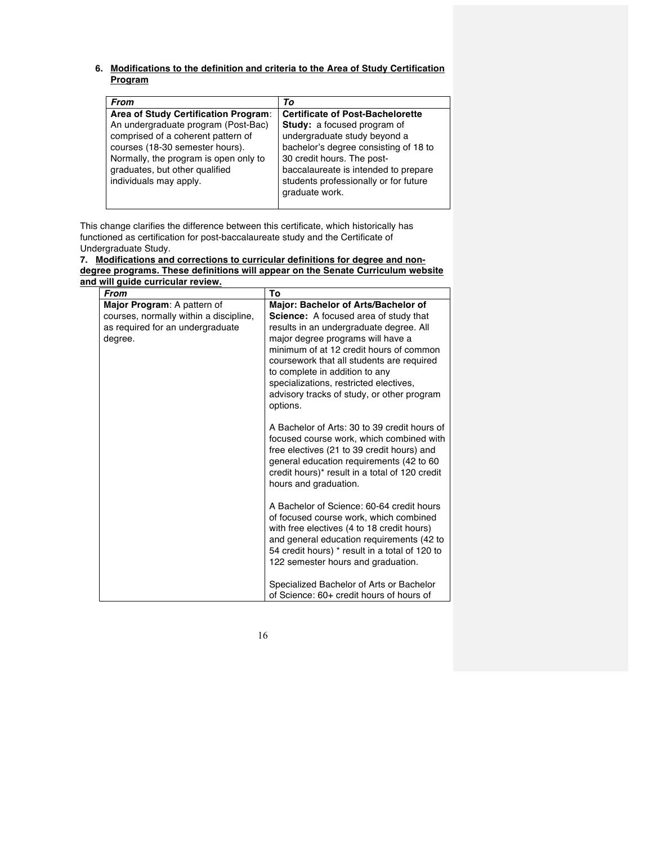## **6. Modifications to the definition and criteria to the Area of Study Certification Program**

| From                                                                                                                                                                                                                            | Tο                                                                                                                                                                                                                           |
|---------------------------------------------------------------------------------------------------------------------------------------------------------------------------------------------------------------------------------|------------------------------------------------------------------------------------------------------------------------------------------------------------------------------------------------------------------------------|
| Area of Study Certification Program:<br>An undergraduate program (Post-Bac)<br>comprised of a coherent pattern of<br>courses (18-30 semester hours).<br>Normally, the program is open only to<br>graduates, but other qualified | <b>Certificate of Post-Bachelorette</b><br><b>Study:</b> a focused program of<br>undergraduate study beyond a<br>bachelor's degree consisting of 18 to<br>30 credit hours. The post-<br>baccalaureate is intended to prepare |
| individuals may apply.                                                                                                                                                                                                          | students professionally or for future<br>graduate work.                                                                                                                                                                      |

This change clarifies the difference between this certificate, which historically has functioned as certification for post-baccalaureate study and the Certificate of Undergraduate Study.

| 7. Modifications and corrections to curricular definitions for degree and non-  |
|---------------------------------------------------------------------------------|
| degree programs. These definitions will appear on the Senate Curriculum website |
| and will quide curricular review.                                               |

| <b>From</b>                            | To                                                                                       |
|----------------------------------------|------------------------------------------------------------------------------------------|
| Major Program: A pattern of            | Major: Bachelor of Arts/Bachelor of                                                      |
| courses, normally within a discipline, | <b>Science:</b> A focused area of study that                                             |
| as required for an undergraduate       | results in an undergraduate degree. All                                                  |
| degree.                                | major degree programs will have a                                                        |
|                                        | minimum of at 12 credit hours of common                                                  |
|                                        | coursework that all students are required                                                |
|                                        | to complete in addition to any                                                           |
|                                        | specializations, restricted electives,                                                   |
|                                        | advisory tracks of study, or other program                                               |
|                                        | options.                                                                                 |
|                                        | A Bachelor of Arts: 30 to 39 credit hours of<br>focused course work, which combined with |
|                                        | free electives (21 to 39 credit hours) and                                               |
|                                        | general education requirements (42 to 60                                                 |
|                                        | credit hours)* result in a total of 120 credit                                           |
|                                        | hours and graduation.                                                                    |
|                                        | A Bachelor of Science: 60-64 credit hours                                                |
|                                        | of focused course work, which combined                                                   |
|                                        | with free electives (4 to 18 credit hours)                                               |
|                                        | and general education requirements (42 to                                                |
|                                        | 54 credit hours) * result in a total of 120 to                                           |
|                                        | 122 semester hours and graduation.                                                       |
|                                        |                                                                                          |
|                                        | Specialized Bachelor of Arts or Bachelor                                                 |
|                                        | of Science: 60+ credit hours of hours of                                                 |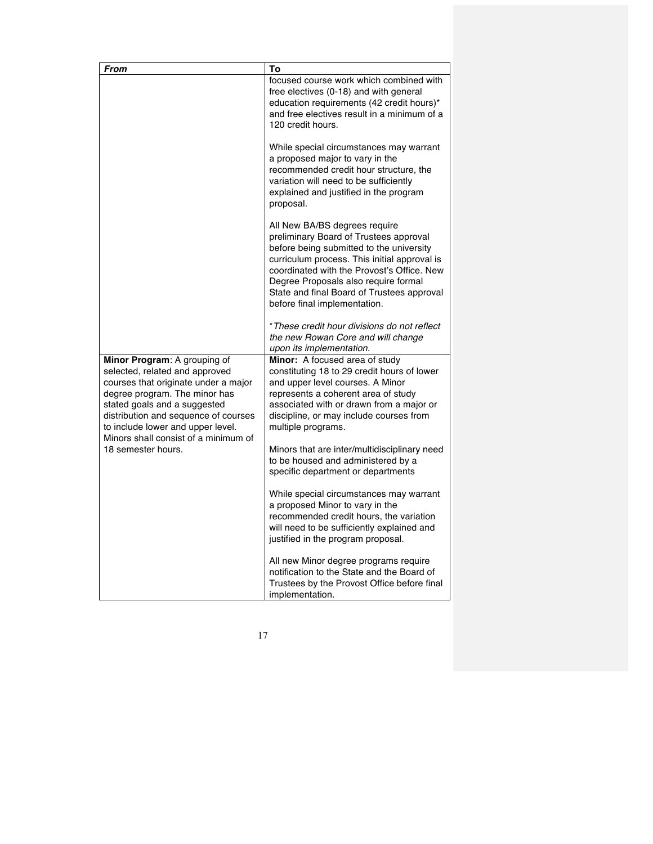| From                                                                                                                                                                                                                                                                                         | To                                                                                                                                                                                                                                                                                                                                      |
|----------------------------------------------------------------------------------------------------------------------------------------------------------------------------------------------------------------------------------------------------------------------------------------------|-----------------------------------------------------------------------------------------------------------------------------------------------------------------------------------------------------------------------------------------------------------------------------------------------------------------------------------------|
|                                                                                                                                                                                                                                                                                              | focused course work which combined with<br>free electives (0-18) and with general<br>education requirements (42 credit hours)*<br>and free electives result in a minimum of a<br>120 credit hours.                                                                                                                                      |
|                                                                                                                                                                                                                                                                                              | While special circumstances may warrant<br>a proposed major to vary in the<br>recommended credit hour structure, the<br>variation will need to be sufficiently<br>explained and justified in the program<br>proposal.                                                                                                                   |
|                                                                                                                                                                                                                                                                                              | All New BA/BS degrees require<br>preliminary Board of Trustees approval<br>before being submitted to the university<br>curriculum process. This initial approval is<br>coordinated with the Provost's Office. New<br>Degree Proposals also require formal<br>State and final Board of Trustees approval<br>before final implementation. |
|                                                                                                                                                                                                                                                                                              | *These credit hour divisions do not reflect<br>the new Rowan Core and will change<br>upon its implementation.                                                                                                                                                                                                                           |
| Minor Program: A grouping of<br>selected, related and approved<br>courses that originate under a major<br>degree program. The minor has<br>stated goals and a suggested<br>distribution and sequence of courses<br>to include lower and upper level.<br>Minors shall consist of a minimum of | Minor: A focused area of study<br>constituting 18 to 29 credit hours of lower<br>and upper level courses. A Minor<br>represents a coherent area of study<br>associated with or drawn from a major or<br>discipline, or may include courses from<br>multiple programs.                                                                   |
| 18 semester hours.                                                                                                                                                                                                                                                                           | Minors that are inter/multidisciplinary need<br>to be housed and administered by a<br>specific department or departments                                                                                                                                                                                                                |
|                                                                                                                                                                                                                                                                                              | While special circumstances may warrant<br>a proposed Minor to vary in the<br>recommended credit hours, the variation<br>will need to be sufficiently explained and<br>justified in the program proposal.                                                                                                                               |
|                                                                                                                                                                                                                                                                                              | All new Minor degree programs require<br>notification to the State and the Board of<br>Trustees by the Provost Office before final<br>implementation.                                                                                                                                                                                   |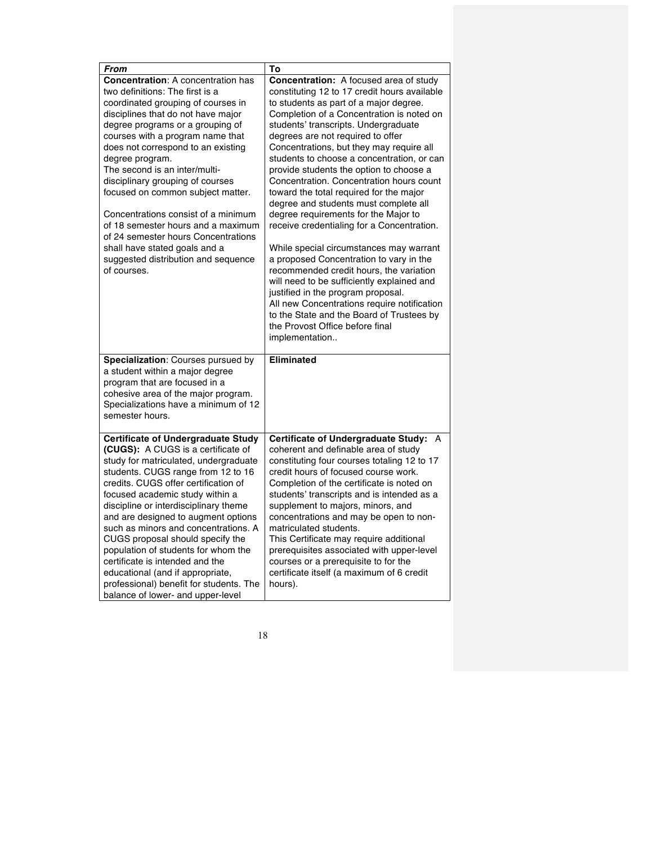| From                                      | To                                              |
|-------------------------------------------|-------------------------------------------------|
| <b>Concentration: A concentration has</b> | Concentration: A focused area of study          |
| two definitions: The first is a           | constituting 12 to 17 credit hours available    |
| coordinated grouping of courses in        | to students as part of a major degree.          |
| disciplines that do not have major        | Completion of a Concentration is noted on       |
| degree programs or a grouping of          | students' transcripts. Undergraduate            |
| courses with a program name that          | degrees are not required to offer               |
| does not correspond to an existing        | Concentrations, but they may require all        |
| degree program.                           | students to choose a concentration, or can      |
| The second is an inter/multi-             | provide students the option to choose a         |
| disciplinary grouping of courses          | Concentration. Concentration hours count        |
| focused on common subject matter.         | toward the total required for the major         |
|                                           | degree and students must complete all           |
| Concentrations consist of a minimum       | degree requirements for the Major to            |
| of 18 semester hours and a maximum        | receive credentialing for a Concentration.      |
| of 24 semester hours Concentrations       |                                                 |
| shall have stated goals and a             | While special circumstances may warrant         |
| suggested distribution and sequence       | a proposed Concentration to vary in the         |
| of courses.                               | recommended credit hours, the variation         |
|                                           | will need to be sufficiently explained and      |
|                                           | justified in the program proposal.              |
|                                           | All new Concentrations require notification     |
|                                           | to the State and the Board of Trustees by       |
|                                           | the Provost Office before final                 |
|                                           | implementation                                  |
|                                           |                                                 |
| Specialization: Courses pursued by        | <b>Eliminated</b>                               |
| a student within a major degree           |                                                 |
| program that are focused in a             |                                                 |
| cohesive area of the major program.       |                                                 |
| Specializations have a minimum of 12      |                                                 |
| semester hours.                           |                                                 |
|                                           |                                                 |
| <b>Certificate of Undergraduate Study</b> | <b>Certificate of Undergraduate Study:</b><br>A |
| (CUGS): A CUGS is a certificate of        | coherent and definable area of study            |
| study for matriculated, undergraduate     | constituting four courses totaling 12 to 17     |
| students. CUGS range from 12 to 16        | credit hours of focused course work.            |
| credits. CUGS offer certification of      | Completion of the certificate is noted on       |
| focused academic study within a           |                                                 |
|                                           | students' transcripts and is intended as a      |
| discipline or interdisciplinary theme     | supplement to majors, minors, and               |
| and are designed to augment options       | concentrations and may be open to non-          |
| such as minors and concentrations. A      | matriculated students.                          |
| CUGS proposal should specify the          | This Certificate may require additional         |
| population of students for whom the       | prerequisites associated with upper-level       |
| certificate is intended and the           | courses or a prerequisite to for the            |
| educational (and if appropriate,          | certificate itself (a maximum of 6 credit       |
| professional) benefit for students. The   | hours).                                         |
| balance of lower- and upper-level         |                                                 |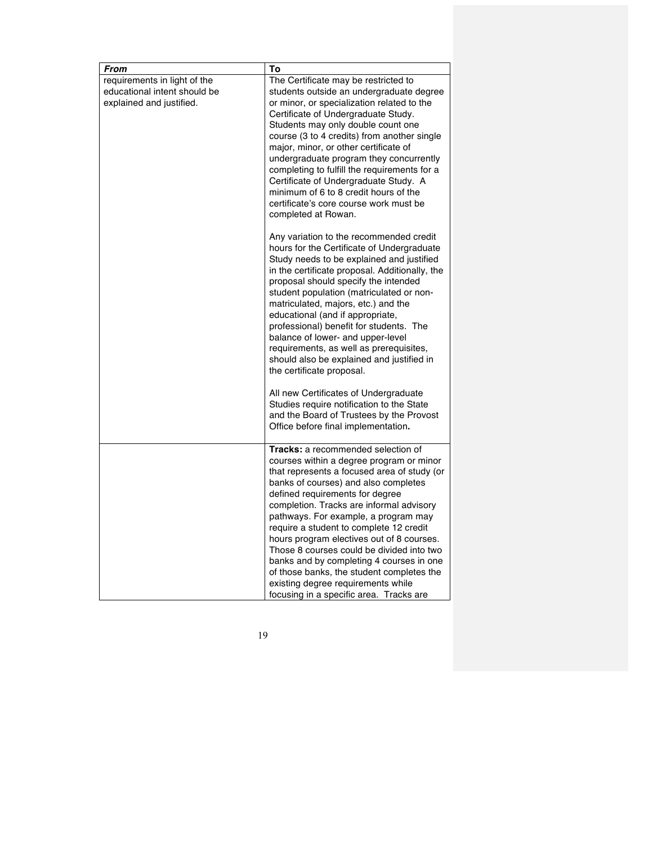| From                         | To                                             |
|------------------------------|------------------------------------------------|
| requirements in light of the | The Certificate may be restricted to           |
| educational intent should be | students outside an undergraduate degree       |
| explained and justified.     | or minor, or specialization related to the     |
|                              | Certificate of Undergraduate Study.            |
|                              | Students may only double count one             |
|                              | course (3 to 4 credits) from another single    |
|                              | major, minor, or other certificate of          |
|                              | undergraduate program they concurrently        |
|                              | completing to fulfill the requirements for a   |
|                              | Certificate of Undergraduate Study. A          |
|                              | minimum of 6 to 8 credit hours of the          |
|                              | certificate's core course work must be         |
|                              | completed at Rowan.                            |
|                              | Any variation to the recommended credit        |
|                              | hours for the Certificate of Undergraduate     |
|                              | Study needs to be explained and justified      |
|                              | in the certificate proposal. Additionally, the |
|                              | proposal should specify the intended           |
|                              | student population (matriculated or non-       |
|                              | matriculated, majors, etc.) and the            |
|                              | educational (and if appropriate,               |
|                              | professional) benefit for students. The        |
|                              | balance of lower- and upper-level              |
|                              | requirements, as well as prerequisites,        |
|                              | should also be explained and justified in      |
|                              | the certificate proposal.                      |
|                              | All new Certificates of Undergraduate          |
|                              | Studies require notification to the State      |
|                              | and the Board of Trustees by the Provost       |
|                              | Office before final implementation.            |
|                              | <b>Tracks:</b> a recommended selection of      |
|                              | courses within a degree program or minor       |
|                              | that represents a focused area of study (or    |
|                              | banks of courses) and also completes           |
|                              | defined requirements for degree                |
|                              | completion. Tracks are informal advisory       |
|                              | pathways. For example, a program may           |
|                              | require a student to complete 12 credit        |
|                              | hours program electives out of 8 courses.      |
|                              | Those 8 courses could be divided into two      |
|                              | banks and by completing 4 courses in one       |
|                              | of those banks, the student completes the      |
|                              | existing degree requirements while             |
|                              | focusing in a specific area. Tracks are        |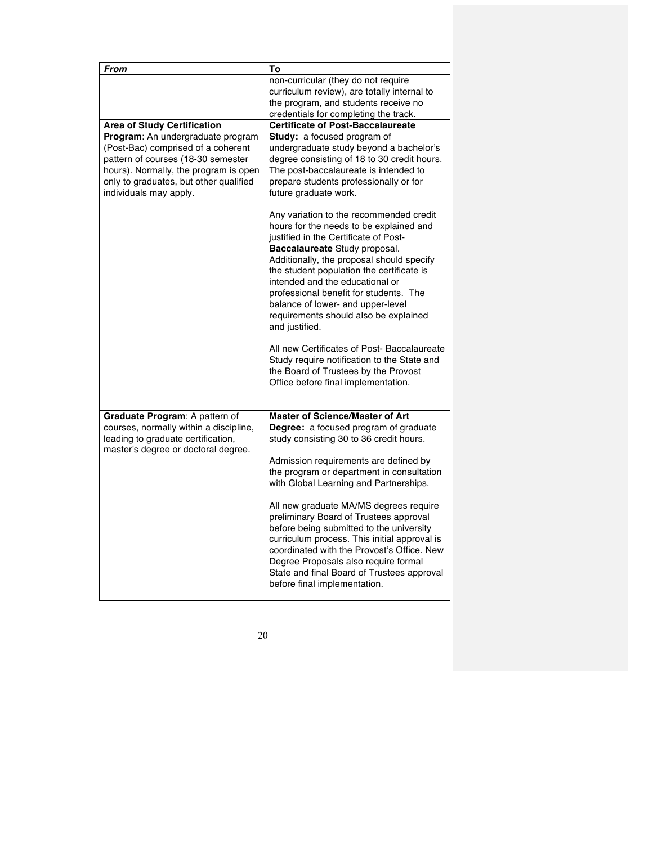| <b>From</b>                                                                                                                                                                                                                       | To                                                                                                                                                                                                                                                                                                                                                                                                                                                                                                                                                                                                               |
|-----------------------------------------------------------------------------------------------------------------------------------------------------------------------------------------------------------------------------------|------------------------------------------------------------------------------------------------------------------------------------------------------------------------------------------------------------------------------------------------------------------------------------------------------------------------------------------------------------------------------------------------------------------------------------------------------------------------------------------------------------------------------------------------------------------------------------------------------------------|
|                                                                                                                                                                                                                                   | non-curricular (they do not require<br>curriculum review), are totally internal to                                                                                                                                                                                                                                                                                                                                                                                                                                                                                                                               |
|                                                                                                                                                                                                                                   | the program, and students receive no                                                                                                                                                                                                                                                                                                                                                                                                                                                                                                                                                                             |
|                                                                                                                                                                                                                                   | credentials for completing the track.                                                                                                                                                                                                                                                                                                                                                                                                                                                                                                                                                                            |
| <b>Area of Study Certification</b>                                                                                                                                                                                                | <b>Certificate of Post-Baccalaureate</b>                                                                                                                                                                                                                                                                                                                                                                                                                                                                                                                                                                         |
| <b>Program:</b> An undergraduate program<br>(Post-Bac) comprised of a coherent<br>pattern of courses (18-30 semester<br>hours). Normally, the program is open<br>only to graduates, but other qualified<br>individuals may apply. | Study: a focused program of<br>undergraduate study beyond a bachelor's<br>degree consisting of 18 to 30 credit hours.<br>The post-baccalaureate is intended to<br>prepare students professionally or for<br>future graduate work.                                                                                                                                                                                                                                                                                                                                                                                |
|                                                                                                                                                                                                                                   | Any variation to the recommended credit<br>hours for the needs to be explained and<br>justified in the Certificate of Post-<br>Baccalaureate Study proposal.<br>Additionally, the proposal should specify<br>the student population the certificate is<br>intended and the educational or<br>professional benefit for students. The<br>balance of lower- and upper-level<br>requirements should also be explained<br>and justified.<br>All new Certificates of Post- Baccalaureate<br>Study require notification to the State and<br>the Board of Trustees by the Provost<br>Office before final implementation. |
|                                                                                                                                                                                                                                   |                                                                                                                                                                                                                                                                                                                                                                                                                                                                                                                                                                                                                  |
| Graduate Program: A pattern of<br>courses, normally within a discipline,<br>leading to graduate certification,<br>master's degree or doctoral degree.                                                                             | <b>Master of Science/Master of Art</b><br>Degree: a focused program of graduate<br>study consisting 30 to 36 credit hours.                                                                                                                                                                                                                                                                                                                                                                                                                                                                                       |
|                                                                                                                                                                                                                                   | Admission requirements are defined by<br>the program or department in consultation<br>with Global Learning and Partnerships.                                                                                                                                                                                                                                                                                                                                                                                                                                                                                     |
|                                                                                                                                                                                                                                   | All new graduate MA/MS degrees require<br>preliminary Board of Trustees approval<br>before being submitted to the university<br>curriculum process. This initial approval is<br>coordinated with the Provost's Office. New<br>Degree Proposals also require formal<br>State and final Board of Trustees approval<br>before final implementation.                                                                                                                                                                                                                                                                 |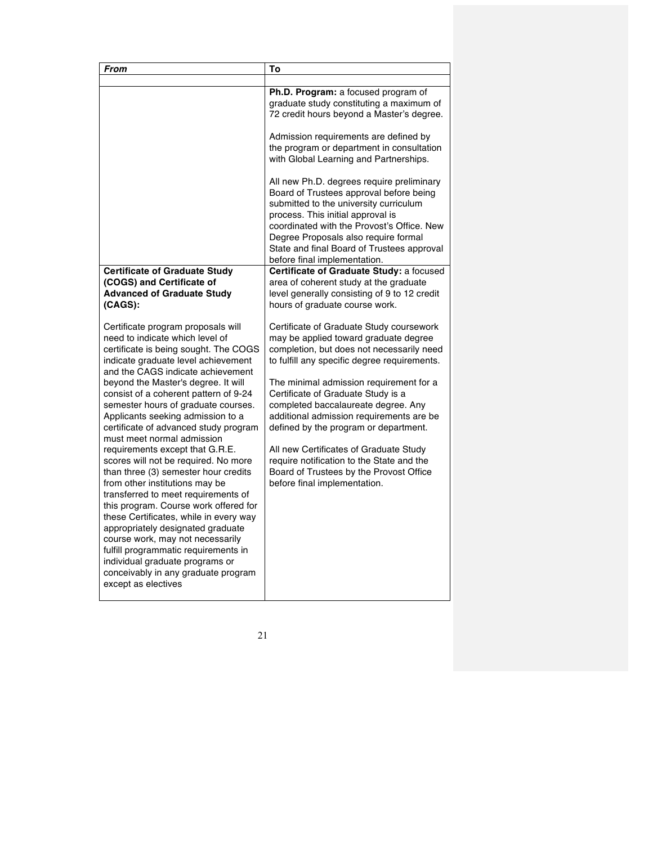| From                                                                                                                                                                                                                                                                                                                                                                                                                                                                                                                                                                                                                                                                                                                                                                                                                                                                                                                           | To                                                                                                                                                                                                                                                                                                                                                                                                                                                                                                                                                            |
|--------------------------------------------------------------------------------------------------------------------------------------------------------------------------------------------------------------------------------------------------------------------------------------------------------------------------------------------------------------------------------------------------------------------------------------------------------------------------------------------------------------------------------------------------------------------------------------------------------------------------------------------------------------------------------------------------------------------------------------------------------------------------------------------------------------------------------------------------------------------------------------------------------------------------------|---------------------------------------------------------------------------------------------------------------------------------------------------------------------------------------------------------------------------------------------------------------------------------------------------------------------------------------------------------------------------------------------------------------------------------------------------------------------------------------------------------------------------------------------------------------|
|                                                                                                                                                                                                                                                                                                                                                                                                                                                                                                                                                                                                                                                                                                                                                                                                                                                                                                                                |                                                                                                                                                                                                                                                                                                                                                                                                                                                                                                                                                               |
|                                                                                                                                                                                                                                                                                                                                                                                                                                                                                                                                                                                                                                                                                                                                                                                                                                                                                                                                | Ph.D. Program: a focused program of<br>graduate study constituting a maximum of<br>72 credit hours beyond a Master's degree.                                                                                                                                                                                                                                                                                                                                                                                                                                  |
|                                                                                                                                                                                                                                                                                                                                                                                                                                                                                                                                                                                                                                                                                                                                                                                                                                                                                                                                | Admission requirements are defined by<br>the program or department in consultation<br>with Global Learning and Partnerships.                                                                                                                                                                                                                                                                                                                                                                                                                                  |
|                                                                                                                                                                                                                                                                                                                                                                                                                                                                                                                                                                                                                                                                                                                                                                                                                                                                                                                                | All new Ph.D. degrees require preliminary<br>Board of Trustees approval before being<br>submitted to the university curriculum<br>process. This initial approval is<br>coordinated with the Provost's Office. New<br>Degree Proposals also require formal<br>State and final Board of Trustees approval<br>before final implementation.                                                                                                                                                                                                                       |
| <b>Certificate of Graduate Study</b><br>(COGS) and Certificate of<br><b>Advanced of Graduate Study</b><br>$(CAGS)$ :                                                                                                                                                                                                                                                                                                                                                                                                                                                                                                                                                                                                                                                                                                                                                                                                           | Certificate of Graduate Study: a focused<br>area of coherent study at the graduate<br>level generally consisting of 9 to 12 credit<br>hours of graduate course work.                                                                                                                                                                                                                                                                                                                                                                                          |
| Certificate program proposals will<br>need to indicate which level of<br>certificate is being sought. The COGS<br>indicate graduate level achievement<br>and the CAGS indicate achievement<br>beyond the Master's degree. It will<br>consist of a coherent pattern of 9-24<br>semester hours of graduate courses.<br>Applicants seeking admission to a<br>certificate of advanced study program<br>must meet normal admission<br>requirements except that G.R.E.<br>scores will not be required. No more<br>than three (3) semester hour credits<br>from other institutions may be<br>transferred to meet requirements of<br>this program. Course work offered for<br>these Certificates, while in every way<br>appropriately designated graduate<br>course work, may not necessarily<br>fulfill programmatic requirements in<br>individual graduate programs or<br>conceivably in any graduate program<br>except as electives | Certificate of Graduate Study coursework<br>may be applied toward graduate degree<br>completion, but does not necessarily need<br>to fulfill any specific degree requirements.<br>The minimal admission requirement for a<br>Certificate of Graduate Study is a<br>completed baccalaureate degree. Any<br>additional admission requirements are be<br>defined by the program or department.<br>All new Certificates of Graduate Study<br>require notification to the State and the<br>Board of Trustees by the Provost Office<br>before final implementation. |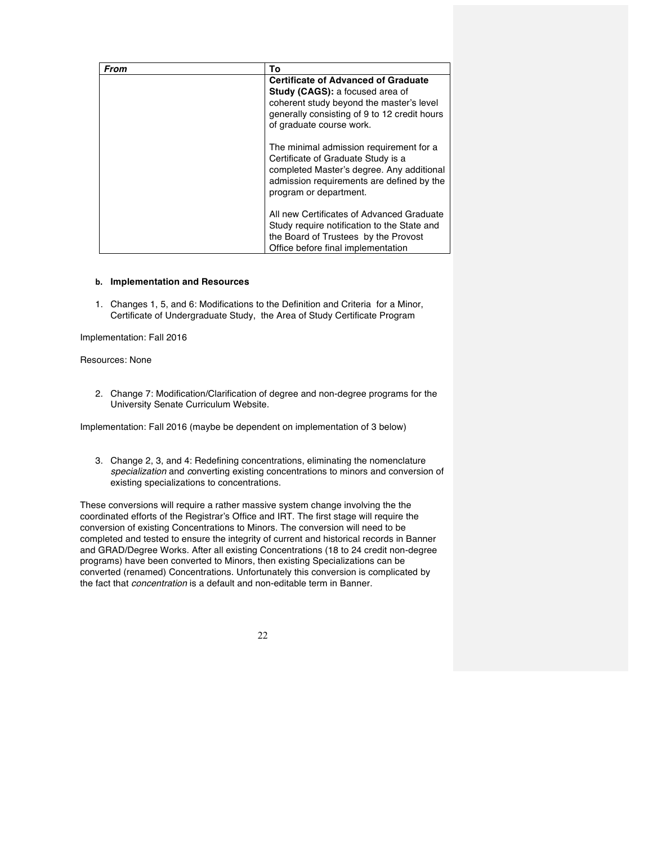| From | То                                                                                                                                                                                                           |
|------|--------------------------------------------------------------------------------------------------------------------------------------------------------------------------------------------------------------|
|      | <b>Certificate of Advanced of Graduate</b><br><b>Study (CAGS): a focused area of</b><br>coherent study beyond the master's level<br>generally consisting of 9 to 12 credit hours<br>of graduate course work. |
|      | The minimal admission requirement for a<br>Certificate of Graduate Study is a<br>completed Master's degree. Any additional<br>admission requirements are defined by the<br>program or department.            |
|      | All new Certificates of Advanced Graduate<br>Study require notification to the State and<br>the Board of Trustees by the Provost<br>Office before final implementation                                       |

### **b. Implementation and Resources**

1. Changes 1, 5, and 6: Modifications to the Definition and Criteriafor a Minor, Certificate of Undergraduate Study, the Area of Study Certificate Program

Implementation: Fall 2016

## Resources: None

2. Change 7: Modification/Clarification of degree and non-degree programs for the University Senate Curriculum Website.

Implementation: Fall 2016 (maybe be dependent on implementation of 3 below)

3. Change 2, 3, and 4: Redefining concentrations, eliminating the nomenclature *specialization* and *c*onverting existing concentrations to minors and conversion of existing specializations to concentrations.

These conversions will require a rather massive system change involving the the coordinated efforts of the Registrar's Office and IRT. The first stage will require the conversion of existing Concentrations to Minors. The conversion will need to be completed and tested to ensure the integrity of current and historical records in Banner and GRAD/Degree Works. After all existing Concentrations (18 to 24 credit non-degree programs) have been converted to Minors, then existing Specializations can be converted (renamed) Concentrations. Unfortunately this conversion is complicated by the fact that *concentration* is a default and non-editable term in Banner.